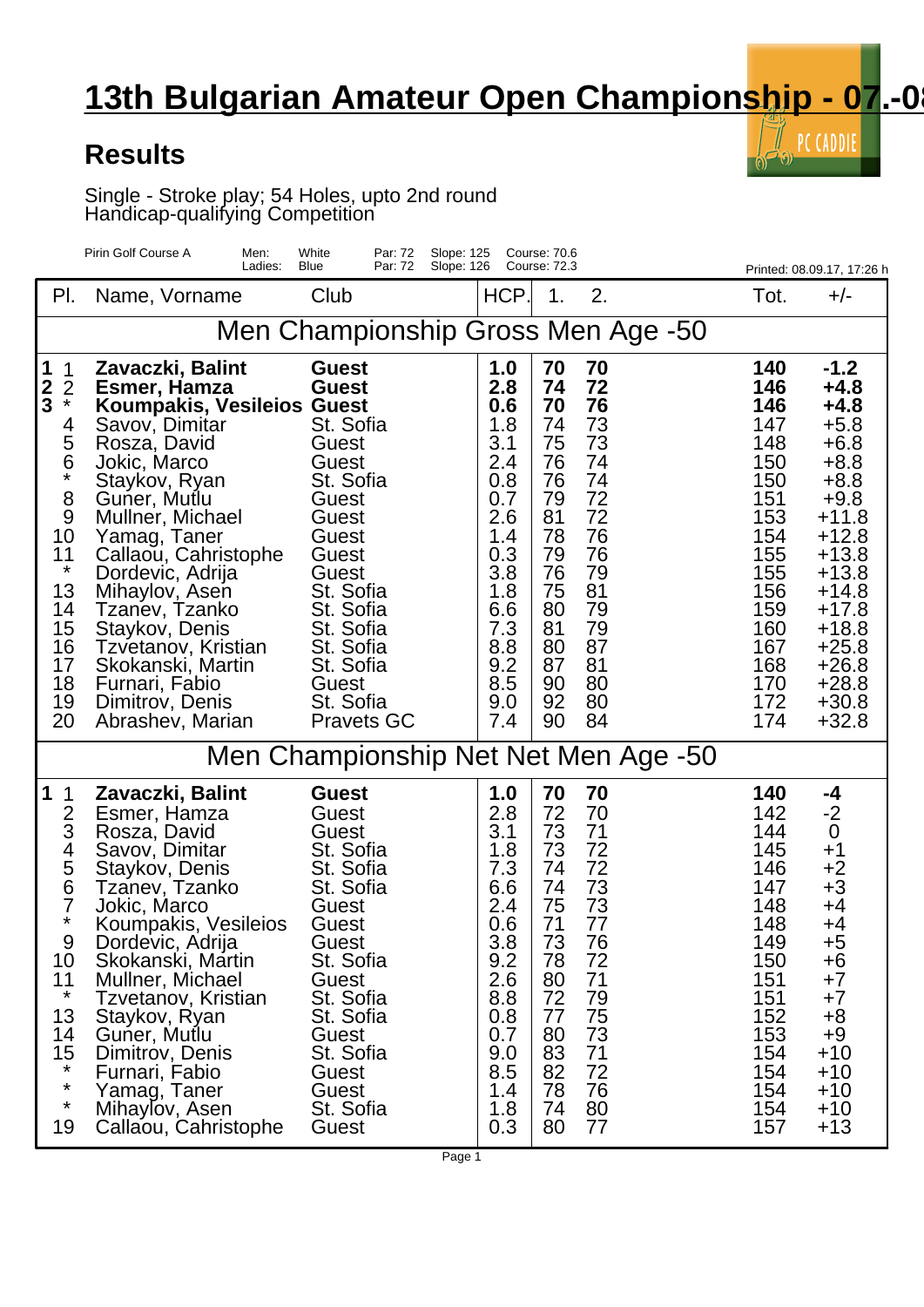## **13th Bulgarian Amateur Open Championship - 07.-0**

 $\bar{\mathbb{I}}$  PC CADDIE

 $\mathbf{r}(\cdot)$ 

## **Results**

Single - Stroke play; 54 Holes, upto 2nd round Handicap-qualifying Competition

|                                                                                                                                                           | Pirin Golf Course A<br>Men:<br>Ladies:                                                                                                                                                                                                                                                                                                                                                              | White<br>Par: 72<br>Slope: 125<br>Blue<br>Par: 72<br>Slope: 126                                                                                                                                                                          |                                                                                                                                          | Course: 70.6<br>Course: 72.3                                                                                         |                                                                                                                      |                                                                                                                                          | Printed: 08.09.17, 17:26 h                                                                                                                                                                                       |  |
|-----------------------------------------------------------------------------------------------------------------------------------------------------------|-----------------------------------------------------------------------------------------------------------------------------------------------------------------------------------------------------------------------------------------------------------------------------------------------------------------------------------------------------------------------------------------------------|------------------------------------------------------------------------------------------------------------------------------------------------------------------------------------------------------------------------------------------|------------------------------------------------------------------------------------------------------------------------------------------|----------------------------------------------------------------------------------------------------------------------|----------------------------------------------------------------------------------------------------------------------|------------------------------------------------------------------------------------------------------------------------------------------|------------------------------------------------------------------------------------------------------------------------------------------------------------------------------------------------------------------|--|
| PI.                                                                                                                                                       | Name, Vorname                                                                                                                                                                                                                                                                                                                                                                                       | Club                                                                                                                                                                                                                                     | HCP.                                                                                                                                     | 1.                                                                                                                   | 2.                                                                                                                   | Tot.                                                                                                                                     | $+/-$                                                                                                                                                                                                            |  |
| Men Championship Gross Men Age -50                                                                                                                        |                                                                                                                                                                                                                                                                                                                                                                                                     |                                                                                                                                                                                                                                          |                                                                                                                                          |                                                                                                                      |                                                                                                                      |                                                                                                                                          |                                                                                                                                                                                                                  |  |
| 1<br>1<br>$\frac{2}{3}$<br>$\frac{2}{x}$<br>4<br>5<br>$\frac{6}{4}$<br>8<br>9<br>10<br>11<br>$\star$<br>13<br>14<br>15<br>16<br>17<br>18<br>19<br>20      | Zavaczki, Balint<br>Esmer, Hamza<br><b>Koumpakis, Vesileios Guest</b><br>Savov, Dimitar<br>Rosza, David<br>Jokic, Marco<br>Staykov, Ryan<br>Guner, Mutlu<br>Mullner, Michael<br>Yamag, Taner<br>Callaou, Cahristophe<br>Dordevic, Adrija<br>Mihaylov, Asen<br>Tzanev, Tzanko<br>Staykov, Denis<br>Tzvetanov, Kristian<br>Skokanski, Martin<br>Furnari, Fabio<br>Dimitrov, Denis<br>Abrashev, Marian | <b>Guest</b><br><b>Guest</b><br>St. Sofia<br>Guest<br>Guest<br>St. Sofia<br>Guest<br>Guest<br>Guest<br>Guest<br>Guest<br>St. Sofia<br>St. Sofia<br>St. Sofia<br>St. Sofia<br>St. Sofia<br><b>Guest</b><br>St. Sofia<br><b>Pravets GC</b> | 1.0<br>2.8<br>0.6<br>1.8<br>3.1<br>2.4<br>0.8<br>0.7<br>2.6<br>1.4<br>0.3<br>3.8<br>1.8<br>6.6<br>7.3<br>8.8<br>9.2<br>8.5<br>9.0<br>7.4 | 70<br>74<br>70<br>74<br>75<br>76<br>76<br>79<br>81<br>78<br>79<br>76<br>75<br>80<br>81<br>80<br>87<br>90<br>92<br>90 | 70<br>72<br>76<br>73<br>73<br>74<br>74<br>72<br>72<br>76<br>76<br>79<br>81<br>79<br>79<br>87<br>81<br>80<br>80<br>84 | 140<br>146<br>146<br>147<br>148<br>150<br>150<br>151<br>153<br>154<br>155<br>155<br>156<br>159<br>160<br>167<br>168<br>170<br>172<br>174 | $-1.2$<br>$+4.8$<br>$+4.8$<br>$+5.8$<br>$+6.8$<br>$+8.8$<br>$+8.8$<br>$+9.8$<br>$+11.8$<br>$+12.8$<br>$+13.8$<br>$+13.8$<br>$+14.8$<br>$+17.8$<br>$+18.8$<br>$+25.8$<br>$+26.8$<br>$+28.8$<br>$+30.8$<br>$+32.8$ |  |
|                                                                                                                                                           | Men Championship Net Net Men Age -50                                                                                                                                                                                                                                                                                                                                                                |                                                                                                                                                                                                                                          |                                                                                                                                          |                                                                                                                      |                                                                                                                      |                                                                                                                                          |                                                                                                                                                                                                                  |  |
| 1<br>1<br>$\overline{2}$<br>3<br>4<br>$\frac{5}{6}$<br>7<br>$\star$<br>9<br>10<br>11<br>$\star$<br>13<br>14<br>15<br>$^\star$<br>$\star$<br>$\star$<br>19 | Zavaczki, Balint<br>Esmer, Hamza<br>Rosza, David<br>Savov, Dimitar<br>Staykov, Denis<br>Tzanev, Tzanko<br>Jokic, Marco<br>Koumpakis, Vesileios<br>Dordevic, Adrija<br>Skokanski, Martin<br>Mullner, Michael<br>Tzvetanov, Kristian<br>Staykov, Ryan<br>Guner, Mutlu<br>Dimitrov, Denis<br>Furnari, Fabio<br>Yamag, Taner<br>Mihaylov, Asen<br>Callaou, Cahristophe                                  | <b>Guest</b><br>Guest<br>Guest<br>St. Sofia<br>St. Sofia<br>St. Sofia<br>Guest<br>Guest<br>Guest<br>St. Sofia<br>Guest<br>St. Sofia<br>St. Sofia<br>Guest<br>St. Sofia<br>Guest<br>Guest<br>St. Sofia<br>Guest                           | 1.0<br>2.8<br>3.1<br>1.8<br>7.3<br>6.6<br>2.4<br>0.6<br>3.8<br>9.2<br>2.6<br>8.8<br>0.8<br>0.7<br>9.0<br>8.5<br>1.4<br>1.8<br>0.3        | 70<br>72<br>73<br>73<br>74<br>74<br>75<br>71<br>73<br>78<br>80<br>72<br>77<br>80<br>83<br>82<br>78<br>74<br>80       | 70<br>70<br>71<br>72<br>72<br>73<br>73<br>77<br>76<br>72<br>71<br>79<br>75<br>73<br>71<br>72<br>76<br>80<br>77       | 140<br>142<br>144<br>145<br>146<br>147<br>148<br>148<br>149<br>150<br>151<br>151<br>152<br>153<br>154<br>154<br>154<br>154<br>157        | -4<br>$-2$<br>$\boldsymbol{0}$<br>$+1$<br>$+2$<br>$+3$<br>+4<br>+4<br>+5<br>+6<br>$+7$<br>$+7$<br>$+8$<br>+9<br>$+10$<br>$+10$<br>$+10$<br>$+10$<br>$+13$                                                        |  |